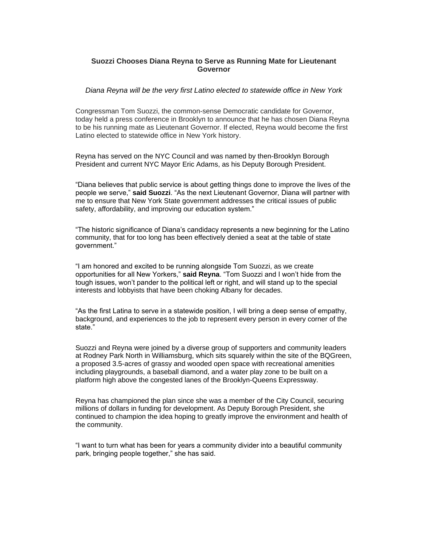## **Suozzi Chooses Diana Reyna to Serve as Running Mate for Lieutenant Governor**

## *Diana Reyna will be the very first Latino elected to statewide office in New York*

Congressman Tom Suozzi, the common-sense Democratic candidate for Governor, today held a press conference in Brooklyn to announce that he has chosen Diana Reyna to be his running mate as Lieutenant Governor. If elected, Reyna would become the first Latino elected to statewide office in New York history.

Reyna has served on the NYC Council and was named by then-Brooklyn Borough President and current NYC Mayor Eric Adams, as his Deputy Borough President.

"Diana believes that public service is about getting things done to improve the lives of the people we serve," **said Suozzi**. "As the next Lieutenant Governor, Diana will partner with me to ensure that New York State government addresses the critical issues of public safety, affordability, and improving our education system."

"The historic significance of Diana's candidacy represents a new beginning for the Latino community, that for too long has been effectively denied a seat at the table of state government."

"I am honored and excited to be running alongside Tom Suozzi, as we create opportunities for all New Yorkers," **said Reyna**. "Tom Suozzi and I won't hide from the tough issues, won't pander to the political left or right, and will stand up to the special interests and lobbyists that have been choking Albany for decades.

"As the first Latina to serve in a statewide position, I will bring a deep sense of empathy, background, and experiences to the job to represent every person in every corner of the state."

Suozzi and Reyna were joined by a diverse group of supporters and community leaders at Rodney Park North in Williamsburg, which sits squarely within the site of the BQGreen, a proposed 3.5-acres of grassy and wooded open space with recreational amenities including playgrounds, a baseball diamond, and a water play zone to be built on a platform high above the congested lanes of the Brooklyn-Queens Expressway.

Reyna has championed the plan since she was a member of the City Council, securing millions of dollars in funding for development. As Deputy Borough President, she continued to champion the idea hoping to greatly improve the environment and health of the community.

"I want to turn what has been for years a community divider into a beautiful community park, bringing people together," she has said.